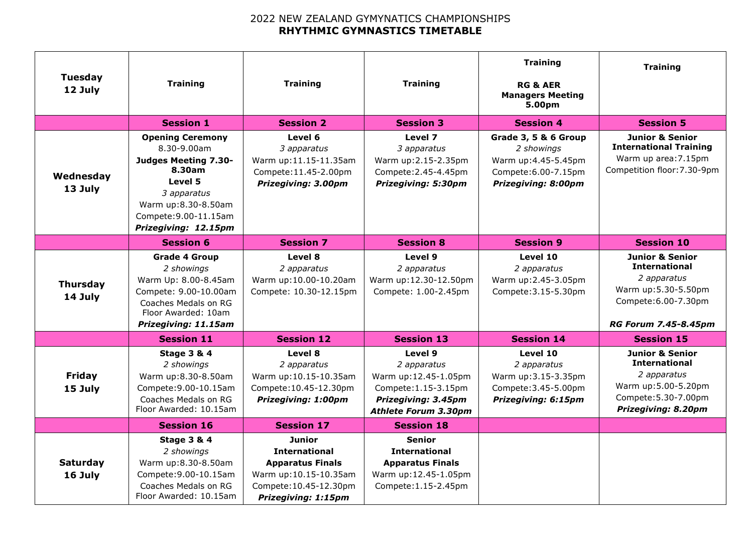## 2022 NEW ZEALAND GYMYNATICS CHAMPIONSHIPS **RHYTHMIC GYMNASTICS TIMETABLE**

| <b>Tuesday</b><br>12 July  | <b>Training</b>                                                                                                                                                            | <b>Training</b>                                                                                                                     | <b>Training</b>                                                                                                              | <b>Training</b><br><b>RG &amp; AER</b><br><b>Managers Meeting</b><br>5.00pm                              | <b>Training</b>                                                                                                                                  |
|----------------------------|----------------------------------------------------------------------------------------------------------------------------------------------------------------------------|-------------------------------------------------------------------------------------------------------------------------------------|------------------------------------------------------------------------------------------------------------------------------|----------------------------------------------------------------------------------------------------------|--------------------------------------------------------------------------------------------------------------------------------------------------|
|                            | <b>Session 1</b>                                                                                                                                                           | <b>Session 2</b>                                                                                                                    | <b>Session 3</b>                                                                                                             | <b>Session 4</b>                                                                                         | <b>Session 5</b>                                                                                                                                 |
| Wednesday<br>13 July       | <b>Opening Ceremony</b><br>8.30-9.00am<br>Judges Meeting 7.30-<br>8.30am<br>Level 5<br>3 apparatus<br>Warm up:8.30-8.50am<br>Compete: 9.00-11.15am<br>Prizegiving: 12.15pm | Level 6<br>3 apparatus<br>Warm up:11.15-11.35am<br>Compete: 11.45-2.00pm<br><b>Prizegiving: 3.00pm</b>                              | Level 7<br>3 apparatus<br>Warm up:2.15-2.35pm<br>Compete: 2.45-4.45pm<br><b>Prizegiving: 5:30pm</b>                          | Grade 3, 5 & 6 Group<br>2 showings<br>Warm up:4.45-5.45pm<br>Compete: 6.00-7.15pm<br>Prizegiving: 8:00pm | <b>Junior &amp; Senior</b><br><b>International Training</b><br>Warm up area: 7.15pm<br>Competition floor: 7.30-9pm                               |
|                            | <b>Session 6</b>                                                                                                                                                           | <b>Session 7</b>                                                                                                                    | <b>Session 8</b>                                                                                                             | <b>Session 9</b>                                                                                         | <b>Session 10</b>                                                                                                                                |
| <b>Thursday</b><br>14 July | <b>Grade 4 Group</b><br>2 showings<br>Warm Up: 8.00-8.45am<br>Compete: 9.00-10.00am<br>Coaches Medals on RG<br>Floor Awarded: 10am<br>Prizegiving: 11.15am                 | Level 8<br>2 apparatus<br>Warm up:10.00-10.20am<br>Compete: 10.30-12.15pm                                                           | Level 9<br>2 apparatus<br>Warm up:12.30-12.50pm<br>Compete: 1.00-2.45pm                                                      | Level 10<br>2 apparatus<br>Warm up:2.45-3.05pm<br>Compete: 3.15-5.30pm                                   | <b>Junior &amp; Senior</b><br><b>International</b><br>2 apparatus<br>Warm up: 5.30-5.50pm<br>Compete: 6.00-7.30pm<br><b>RG Forum 7.45-8.45pm</b> |
|                            | <b>Session 11</b>                                                                                                                                                          | <b>Session 12</b>                                                                                                                   | <b>Session 13</b>                                                                                                            | <b>Session 14</b>                                                                                        | <b>Session 15</b>                                                                                                                                |
| <b>Friday</b><br>15 July   | <b>Stage 3 &amp; 4</b><br>2 showings<br>Warm up:8.30-8.50am<br>Compete: 9.00-10.15am<br>Coaches Medals on RG<br>Floor Awarded: 10.15am                                     | Level 8<br>2 apparatus<br>Warm up:10.15-10.35am<br>Compete: 10.45-12.30pm<br><b>Prizegiving: 1:00pm</b>                             | Level 9<br>2 apparatus<br>Warm up:12.45-1.05pm<br>Compete: 1.15-3.15pm<br>Prizegiving: 3.45pm<br><b>Athlete Forum 3.30pm</b> | Level 10<br>2 apparatus<br>Warm up: 3.15-3.35pm<br>Compete: 3.45-5.00pm<br>Prizegiving: 6:15pm           | <b>Junior &amp; Senior</b><br><b>International</b><br>2 apparatus<br>Warm up:5.00-5.20pm<br>Compete: 5.30-7.00pm<br>Prizegiving: 8.20pm          |
|                            | <b>Session 16</b>                                                                                                                                                          | <b>Session 17</b>                                                                                                                   | <b>Session 18</b>                                                                                                            |                                                                                                          |                                                                                                                                                  |
| <b>Saturday</b><br>16 July | <b>Stage 3 &amp; 4</b><br>2 showings<br>Warm up:8.30-8.50am<br>Compete: 9.00-10.15am<br>Coaches Medals on RG<br>Floor Awarded: 10.15am                                     | Junior<br><b>International</b><br><b>Apparatus Finals</b><br>Warm up:10.15-10.35am<br>Compete: 10.45-12.30pm<br>Prizegiving: 1:15pm | <b>Senior</b><br><b>International</b><br><b>Apparatus Finals</b><br>Warm up:12.45-1.05pm<br>Compete: 1.15-2.45pm             |                                                                                                          |                                                                                                                                                  |